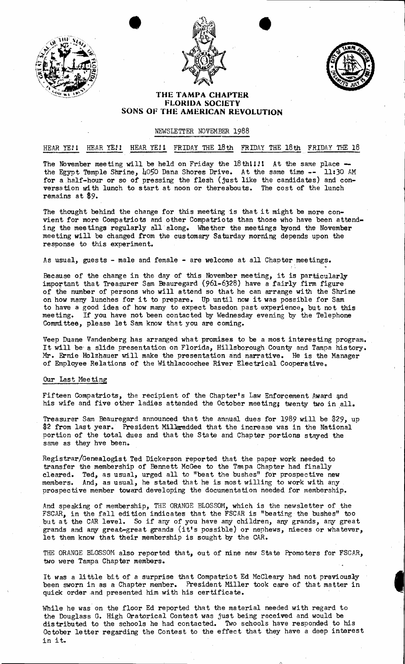





I

## **THE TAMPA CHAPTER FLORIDA SOCIETV SONS OF THE AMERICAN REVOLUTION**

## NEWSLETTER NOVEMBER 1988

## HEAR YE!! HEAR YE!! HEAR YE!! FRIDAY THE 18th FRIDAY THE 18th FRIDAY THE 18

The November meeting will be held on Friday the  $18$ thl!!! At the same place the Egypt Temple Shrine, 4050 Dana Shores Drive. At the same time -- 11:30 AM for a half-hour or so of pressing the flesh (just like the candidates) and conversation with lunch to start at noon or thereabouts. The cost of the lunch remains at \$9.

The thought behind the change for this meeting is that it might be more convient for more Compatriots and other Compatriots than those who have been attending the meetings regularly all· along. Whether the meetings byond the November meeting will be changed from the customary Saturday morning depends upon the response to this experiment.

As usual, guests - male and female - are welcome at all Chapter meetings.

Because of the change in the day of this November meeting, it is particularly important that Treasurer Sam Beauregard (961-6328) have a fairly firm figure of the number of persons who will attend so that he can arrange with the Shrine on how many lunches for it to prepare. Up until now it was possible for Sam to have a good idea of how many to expect basedon past experience, but not this meeting. If you have not been contacted by Wednesday evening by the Telephone If you have not been contacted by Wednesday evening by the Telephone Commi ttee, please let Sam know that you are coming.

Veep Duane Vandenberg has arranged what promises to be a most interesting program. It will be' a slide presentation on Florida, Hillsborough County and Tampa history. Mr. Ernie Holzhauer will make the presentation and narrative. He is the Manager of Employee Relations of the Withlacoochee River Electrical Cooperative.

## Our Last Meeting

Fifteen Compatriots, the recipient of the Chapter's Law Enforcement Award and his wife and five other ladies attended the October meeting; twenty two in all.

Treasurer Sam Beauregard announced that the annual dues for 1989 will be \$29, up \$2 from last year. President MilJeradded that the increase was in the National portion of the total dues and that the State and Chapter portions stayed the same as they hve been.

Registrar/Genealogist Ted Dickerson reported that the paper work needed to transfer the membership of Bennett McGee to the Tanpa Chapter had finally cleared. Ted, as usual, urged all to "beat the bushes" for prospective new members. And, as usual, he stated that he is most willing to work with any. prospective member toward developing the documentation needed for membership.

And speaking of membership, THE ORANGE BLOSSOM, which is the newsletter of the FSCAR, in the fall edition indicates that the FSCAR is "beating the bushes" too FSCAR, in the fall edition indicates that the FSCAR is "beating the bushes" too<br>but at the CAR level. So if any of you have any children, any grands, any great . grands and any great-great grands (it's possible) or nephews, nieces or whatever, let them know that their membership is sought by the CAR.

THE ORANGE BLOSSOM also reported that, out of nine new State Promoters for FSCAR, two were Tampa Chapter members.

It was a little bit of a surprise that Compatriot Ed McCleary had not previously been sworn in as a Chapter member. President Miller took care of that matter in quick order and presented him with his certificate.

While he was on the floor Ed reported that the material needed with regard to the Douglass G. High Oratorical Contest was just being received and would be distributed to the schools he had contacted. Two schools have responded to his October letter regarding the Contest to the effect that they have a deep interest in it.